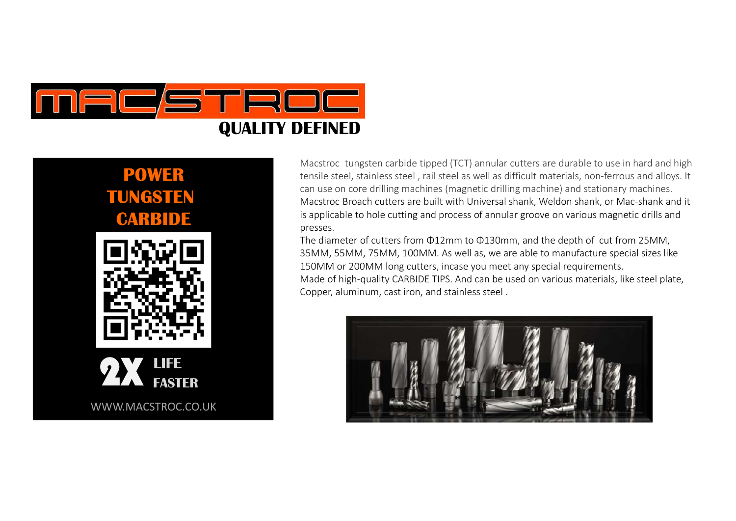

# POWER TUNGSTEN CARBI





WWW.MACSTROC.CO.UK

Macstroc tungsten carbide tipped (TCT) annular cutters are durable to use in hard and high tensile steel, stainless steel , rail steel as well as difficult materials, non-ferrous and alloys. It can use on core drilling machines (magnetic drilling machine) and stationary machines. Macstroc Broach cutters are built with Universal shank, Weldon shank, or Mac-shank and it is applicable to hole cutting and process of annular groove on various magnetic drills and presses. THE MED<br>
Macstroc tungsten carbide tipped (TCT) annular cutters are durable to use in hard and high<br>
tensile steel, stainless steel, rail steel as well as difficult materials, non-ferrows and alloys. It<br>
can use on core dr

35MM, 55MM, 75MM, 100MM. As well as, we are able to manufacture special sizes like 150MM or 200MM long cutters, incase you meet any special requirements. Made of high-quality CARBIDE TIPS. And can be used on various materials, like steel plate,

Copper, aluminum, cast iron, and stainless steel .

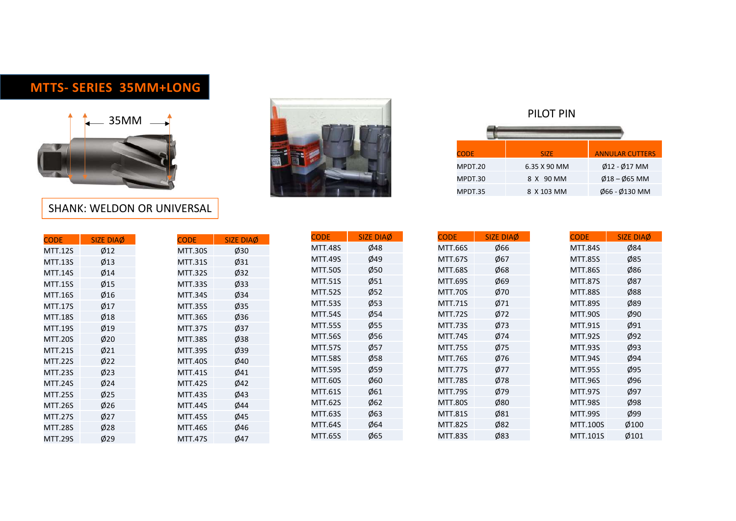

#### SHANK: WELDON OR UNIVERSAL

|                                  | 35MM             | <b>TTS- SERIES 35MM+LONG</b><br><b>SHANK: WELDON OR UNIVERSAL</b> |                  |                |                  |
|----------------------------------|------------------|-------------------------------------------------------------------|------------------|----------------|------------------|
| <b>CODE</b>                      | <b>SIZE DIAØ</b> | <b>CODE</b>                                                       | <b>SIZE DIAØ</b> | <b>CODE</b>    | <b>SIZE DIA</b>  |
| <b>MTT.12S</b>                   | Ø12              | <b>MTT.30S</b>                                                    | Ø30              | <b>MTT.48S</b> | Ø48              |
| <b>MTT.13S</b>                   | $\emptyset$ 13   | <b>MTT.31S</b>                                                    | Ø31              | <b>MTT.49S</b> | Ø49              |
| <b>MTT.14S</b>                   | Ø14              | <b>MTT.32S</b>                                                    | Ø32              | <b>MTT.50S</b> | Ø50              |
| <b>MTT.15S</b>                   | Ø15              | <b>MTT.33S</b>                                                    | Ø33              | <b>MTT.51S</b> | $\emptyset$ 51   |
| <b>MTT.16S</b>                   | Ø16              | <b>MTT.34S</b>                                                    | Ø34              | <b>MTT.52S</b> | $\phi$ 52        |
| <b>MTT.17S</b>                   | Ø17              | <b>MTT.35S</b>                                                    | $\varnothing$ 35 | <b>MTT.53S</b> | $\varnothing$ 53 |
| <b>MTT.18S</b>                   | Ø18              | <b>MTT.36S</b>                                                    | Ø36              | <b>MTT.54S</b> | Ø54              |
| <b>MTT.19S</b>                   | Ø19              | <b>MTT.37S</b>                                                    | Ø37              | <b>MTT.55S</b> | $\varnothing$ 55 |
| <b>MTT.20S</b>                   | Ø20              | <b>MTT.38S</b>                                                    | Ø38              | <b>MTT.56S</b> | Ø56              |
| <b>MTT.21S</b>                   | $\emptyset$ 21   | <b>MTT.39S</b>                                                    | Ø39              | <b>MTT.57S</b> | Ø57              |
|                                  | Ø22              | <b>MTT.40S</b>                                                    | Ø40              | <b>MTT.58S</b> | Ø58              |
|                                  |                  |                                                                   | Ø41              | <b>MTT.59S</b> | $\varnothing$ 59 |
| <b>MTT.22S</b>                   |                  |                                                                   |                  |                |                  |
| <b>MTT.23S</b>                   | Ø23              | <b>MTT.41S</b>                                                    |                  | <b>MTT.60S</b> | Ø60              |
| <b>MTT.24S</b>                   | Ø24              | <b>MTT.42S</b>                                                    | Ø42              | <b>MTT.61S</b> | Ø61              |
| <b>MTT.25S</b>                   | Ø25              | <b>MTT.43S</b>                                                    | Ø43              | <b>MTT.62S</b> | Ø62              |
| <b>MTT.26S</b>                   | Ø26              | <b>MTT.44S</b>                                                    | Ø44              | MTT.63S        | Ø63              |
| <b>MTT.27S</b><br><b>MTT.28S</b> | Ø27<br>Ø28       | <b>MTT.45S</b><br><b>MTT.46S</b>                                  | Ø45<br>Ø46       | <b>MTT.64S</b> | Ø64              |



| <b>CODE</b>        | <b>SIZE</b>                      |           | <b>ANNULAR CUTTERS</b>             |
|--------------------|----------------------------------|-----------|------------------------------------|
| MPDT.20            | 6.35 X 90 MM                     |           | $\emptyset$ 12 - $\emptyset$ 17 MM |
| MPDT.30<br>MPDT.35 | 8 X 90 MM<br>8 X 103 MM          |           | $\emptyset$ 18 – $\emptyset$ 65 MM |
|                    |                                  |           | Ø66 - Ø130 MM                      |
|                    |                                  |           |                                    |
|                    |                                  |           |                                    |
| SIZE DIAØ          | <b>CODE</b>                      |           | SIZE DIAØ                          |
| Ø66<br>Ø67         | <b>MTT.84S</b><br><b>MTT.85S</b> |           | Ø84<br>Ø85                         |
| Ø68                | <b>MTT.86S</b>                   |           | Ø86                                |
| Ø69<br>Ø70         | <b>MTT.87S</b><br><b>MTT.88S</b> |           | Ø87<br>Ø88                         |
|                    |                                  | PILOT PIN |                                    |

|                |                |                |                  |                |                  | PILOT PIN      |                        |
|----------------|----------------|----------------|------------------|----------------|------------------|----------------|------------------------|
|                |                |                |                  | <b>CODE</b>    |                  | <b>SIZE</b>    | <b>ANNULAR CUTTERS</b> |
|                |                |                |                  | MPDT.20        |                  | 6.35 X 90 MM   | Ø12 - Ø17 MM           |
|                |                |                |                  | MPDT.30        |                  | 8 X 90 MM      | $Ø18 - Ø65$ MM         |
|                |                |                |                  | MPDT.35        |                  | 8 X 103 MM     | Ø66 - Ø130 MM          |
| <b>/ERSAL</b>  |                |                |                  |                |                  |                |                        |
|                |                |                |                  |                |                  |                |                        |
| <b>CODE</b>    | SIZE DIAØ      | <b>CODE</b>    | SIZE DIAØ        | <b>CODE</b>    | <b>SIZE DIAØ</b> | <b>CODE</b>    | SIZE DIAØ              |
| <b>MTT.30S</b> | Ø30            | <b>MTT.48S</b> | Ø48              | MTT.66S        | Ø66              | <b>MTT.84S</b> | Ø84                    |
| <b>MTT.31S</b> | Ø31            | <b>MTT.49S</b> | Ø49              | <b>MTT.67S</b> | Ø67              | <b>MTT.85S</b> | Ø85                    |
| <b>MTT.32S</b> | $\emptyset$ 32 | <b>MTT.50S</b> | $\emptyset$ 50   | <b>MTT.68S</b> | $\emptyset$ 68   | <b>MTT.86S</b> | Ø86                    |
| <b>MTT.33S</b> | Ø33            | <b>MTT.51S</b> | $\emptyset$ 51   | <b>MTT.69S</b> | Ø69              | <b>MTT.87S</b> | Ø87                    |
| <b>MTT.34S</b> | Ø34            | <b>MTT.52S</b> | $\varnothing$ 52 | <b>MTT.70S</b> | Ø70              | <b>MTT.88S</b> | Ø88                    |
| <b>MTT.35S</b> | $\emptyset$ 35 | <b>MTT.53S</b> | $\phi$ 53        | <b>MTT.71S</b> | Ø71              | <b>MTT.89S</b> | Ø89                    |
| <b>MTT.36S</b> | Ø36            | <b>MTT.54S</b> | $\emptyset$ 54   | <b>MTT.72S</b> | Ø72              | <b>MTT.90S</b> | Ø90                    |
| MTT.37S        | Ø37            | <b>MTT.55S</b> | $\varnothing$ 55 | <b>MTT.73S</b> | Ø73              | MTT.91S        | Ø91                    |
| <b>MTT.38S</b> | Ø38            | <b>MTT.56S</b> | $\emptyset$ 56   | <b>MTT.74S</b> | Ø74              | <b>MTT.92S</b> | Ø92                    |
| MTT.39S        | Ø39            | <b>MTT.57S</b> | $\phi$ 57        | <b>MTT.75S</b> | Ø75              | <b>MTT.93S</b> | Ø93                    |
| <b>MTT.40S</b> | Ø40            | <b>MTT.58S</b> | $\emptyset$ 58   | <b>MTT.76S</b> | Ø76              | <b>MTT.94S</b> | Ø94                    |
| <b>MTT.41S</b> | Ø41            | <b>MTT.59S</b> | $\phi$ 59        | <b>MTT.77S</b> | Ø77              | <b>MTT.95S</b> | Ø95                    |
| <b>MTT.42S</b> | Ø42            | <b>MTT.60S</b> | Ø60              | <b>MTT.78S</b> | Ø78              | <b>MTT.96S</b> | Ø96                    |
| MTT.43S        | Ø43            | MTT.61S        | Ø61              | <b>MTT.79S</b> | Ø79              | <b>MTT.97S</b> | Ø97                    |
| <b>MTT.44S</b> | Ø44            | <b>MTT.62S</b> | Ø62              | <b>MTT.80S</b> | Ø80              | <b>MTT.98S</b> | Ø98                    |
| <b>MTT.45S</b> | Ø45            | <b>MTT.63S</b> | Ø63              | <b>MTT.81S</b> | Ø81              | <b>MTT.99S</b> | Ø99                    |
| <b>MTT.46S</b> | Ø46            | <b>MTT.64S</b> | Ø64              | <b>MTT.82S</b> | Ø82              | MTT.100S       | Ø100                   |
|                | Ø47            | <b>MTT.65S</b> | Ø65              | <b>MTT.83S</b> | Ø83              | MTT.101S       | Ø101                   |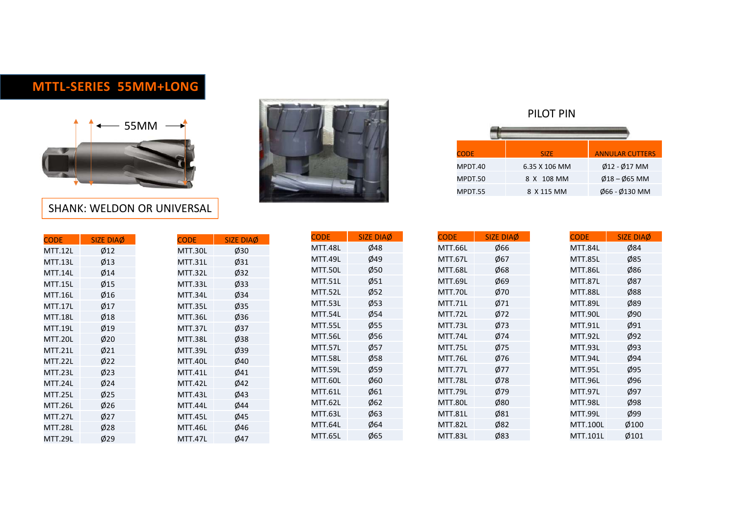#### MTTL-SERIES 55MM+LONG



#### SHANK: WELDON OR UNIVERSAL

|                                  |                  | <b>ITTL-SERIES 55MM+LONG</b><br>55MM<br><b>SHANK: WELDON OR UNIVERSAL</b> |                  |                |                      |
|----------------------------------|------------------|---------------------------------------------------------------------------|------------------|----------------|----------------------|
|                                  |                  |                                                                           |                  |                |                      |
|                                  |                  |                                                                           |                  | <b>CODE</b>    | <b>SIZE DIA</b>      |
| <b>CODE</b>                      | <b>SIZE DIAØ</b> | <b>CODE</b>                                                               | <b>SIZE DIAØ</b> | <b>MTT.48L</b> | Ø48                  |
| <b>MTT.12L</b><br><b>MTT.13L</b> | Ø12<br>Ø13       | MTT.30L<br><b>MTT.31L</b>                                                 | Ø30<br>Ø31       | <b>MTT.49L</b> | Ø49                  |
| <b>MTT.14L</b>                   | Ø14              | <b>MTT.32L</b>                                                            | Ø32              | <b>MTT.50L</b> | Ø50                  |
| <b>MTT.15L</b>                   | Ø15              | MTT.33L                                                                   | Ø33              | <b>MTT.51L</b> | Ø51                  |
| <b>MTT.16L</b>                   | Ø16              | MTT.34L                                                                   | Ø34              | <b>MTT.52L</b> | $\phi$ <sub>52</sub> |
| <b>MTT.17L</b>                   | Ø17              | <b>MTT.35L</b>                                                            | Ø35              | <b>MTT.53L</b> | Ø53                  |
| <b>MTT.18L</b>                   | Ø18              | <b>MTT.36L</b>                                                            | Ø36              | MTT.54L        | Ø54                  |
| <b>MTT.19L</b>                   | Ø19              | <b>MTT.37L</b>                                                            | Ø37              | <b>MTT.55L</b> | $\emptyset$ 55       |
| <b>MTT.20L</b>                   | Ø20              | <b>MTT.38L</b>                                                            | Ø38              | <b>MTT.56L</b> | Ø56                  |
| <b>MTT.21L</b>                   | $\emptyset$ 21   | <b>MTT.39L</b>                                                            | Ø39              | <b>MTT.57L</b> | Ø57                  |
| <b>MTT.22L</b>                   | Ø22              | <b>MTT.40L</b>                                                            | Ø40              | <b>MTT.58L</b> | Ø58                  |
| <b>MTT.23L</b>                   | Ø23              | <b>MTT.41L</b>                                                            | Ø41              | <b>MTT.59L</b> | Ø59                  |
| <b>MTT.24L</b>                   | Ø24              | MTT.42L                                                                   | Ø42              | <b>MTT.60L</b> | Ø60                  |
| <b>MTT.25L</b>                   | Ø25              | MTT.43L                                                                   | Ø43              | <b>MTT.61L</b> | Ø61                  |
| <b>MTT.26L</b>                   | Ø26              | MTT.44L                                                                   | Ø44              | <b>MTT.62L</b> | Ø62                  |
| <b>MTT.27L</b>                   | Ø27              | <b>MTT.45L</b>                                                            | Ø45              | <b>MTT.63L</b> | Ø63                  |
| <b>MTT.28L</b>                   | Ø28              | <b>MTT.46L</b>                                                            | Ø46              | <b>MTT.64L</b> | Ø64                  |
| <b>MTT.29L</b>                   | Ø29              | <b>MTT.47L</b>                                                            | Ø47              | <b>MTT.65L</b> | Ø65                  |
|                                  |                  |                                                                           |                  |                |                      |



|              |            | PILOT PIN     |                                  |                                    |
|--------------|------------|---------------|----------------------------------|------------------------------------|
|              |            |               |                                  |                                    |
|              |            |               |                                  |                                    |
| <b>CODE</b>  |            | <b>SIZE</b>   |                                  | <b>ANNULAR CUTTERS</b>             |
|              |            |               |                                  | Ø12 - Ø17 MM                       |
| MPDT.40      |            | 6.35 X 106 MM |                                  |                                    |
| MPDT.50      |            | 8 X 108 MM    |                                  | $\emptyset$ 18 – $\emptyset$ 65 MM |
| MPDT.55      |            | 8 X 115 MM    |                                  | Ø66 - Ø130 MM                      |
|              |            |               |                                  |                                    |
|              |            |               |                                  |                                    |
|              | SIZE DIAØ  | <b>CODE</b>   |                                  | SIZE DIAØ                          |
| Ė.<br>.66L   | Ø66        |               | <b>MTT.84L</b>                   | Ø84                                |
| .67L         | Ø67        |               | <b>MTT.85L</b>                   | Ø85                                |
| .68L         | Ø68        |               | <b>MTT.86L</b>                   | Ø86                                |
| .69L<br>.70L | Ø69<br>Ø70 |               | <b>MTT.87L</b><br><b>MTT.88L</b> | Ø87<br>Ø88                         |

|                |                |                           |                             |                           |                  | PILOT PIN                        |                        |
|----------------|----------------|---------------------------|-----------------------------|---------------------------|------------------|----------------------------------|------------------------|
|                |                |                           |                             | <b>CODE</b>               |                  | <b>SIZE</b>                      | <b>ANNULAR CUTTERS</b> |
|                |                |                           |                             | MPDT.40                   |                  | 6.35 X 106 MM                    | Ø12 - Ø17 MM           |
|                |                |                           |                             | MPDT.50                   |                  | 8 X 108 MM                       | $Ø18 - Ø65$ MM         |
|                |                |                           |                             | MPDT.55                   |                  | 8 X 115 MM                       | Ø66 - Ø130 MM          |
| <b>CODE</b>    | SIZE DIAØ      | <b>CODE</b>               | <b>SIZE DIAØ</b>            | <b>CODE</b>               | <b>SIZE DIAØ</b> | <b>CODE</b>                      | SIZE DIAØ              |
| <b>MTT.30L</b> | Ø30            | <b>MTT.48L</b>            | Ø48                         | MTT.66L                   | Ø66              | <b>MTT.84L</b>                   | Ø84                    |
| <b>MTT.31L</b> | Ø31            | MTT.49L                   | Ø49                         | MTT.67L                   | Ø67              | <b>MTT.85L</b>                   | Ø85                    |
| <b>MTT.32L</b> | $\emptyset$ 32 | <b>MTT.50L</b>            | $\emptyset$ 50              | <b>MTT.68L</b>            | $\emptyset$ 68   | <b>MTT.86L</b>                   | Ø86                    |
| MTT.33L        | Ø33            | <b>MTT.51L</b>            | $\emptyset$ 51              | MTT.69L                   | $\emptyset$ 69   | <b>MTT.87L</b>                   | Ø87                    |
| MTT.34L        | Ø34            | MTT.52L                   | $\phi$ 52                   | <b>MTT.70L</b>            | Ø70              | <b>MTT.88L</b>                   | Ø88                    |
| <b>MTT.35L</b> | $\emptyset$ 35 | MTT.53L                   | $\phi$ 53                   | <b>MTT.71L</b>            | Ø71              | <b>MTT.89L</b>                   | Ø89                    |
| <b>MTT.36L</b> | Ø36            | MTT.54L                   | $\emptyset$ 54              | MTT.72L                   | Ø72              | <b>MTT.90L</b>                   | Ø90                    |
| MTT.37L        | Ø37            | MTT.55L                   | $\varnothing$ 55            | MTT.73L                   | Ø73              | <b>MTT.91L</b>                   | Ø91                    |
| <b>MTT.38L</b> | Ø38            | <b>MTT.56L</b>            | $\emptyset$ 56              | MTT.74L                   | Ø74              | <b>MTT.92L</b>                   | Ø92                    |
| <b>MTT.39L</b> | Ø39            | MTT.57L                   | $\phi$ 57                   | MTT.75L                   | Ø75              | <b>MTT.93L</b>                   | Ø93                    |
| <b>MTT.40L</b> | Ø40            | <b>MTT.58L</b><br>MTT.59L | $\emptyset$ 58<br>$\phi$ 59 | <b>MTT.76L</b><br>MTT.77L | Ø76<br>Ø77       | <b>MTT.94L</b><br><b>MTT.95L</b> | Ø94<br>Ø95             |
| <b>MTT.41L</b> | Ø41            | MTT.60L                   | Ø60                         | <b>MTT.78L</b>            | Ø78              | <b>MTT.96L</b>                   | Ø96                    |
| MTT.42L        | Ø42            | <b>MTT.61L</b>            | Ø61                         | <b>MTT.79L</b>            | Ø79              | <b>MTT.97L</b>                   | Ø97                    |
| MTT.43L        | Ø43            | MTT.62L                   | Ø62                         | <b>MTT.80L</b>            | Ø80              | <b>MTT.98L</b>                   | Ø98                    |
| MTT.44L        | Ø44            | MTT.63L                   | Ø63                         | <b>MTT.81L</b>            | Ø81              | <b>MTT.99L</b>                   | Ø99                    |
| <b>MTT.45L</b> | Ø45            | <b>MTT.64L</b>            | Ø64                         | <b>MTT.82L</b>            | Ø82              | <b>MTT.100L</b>                  | Ø100                   |
| <b>MTT.46L</b> | Ø46            |                           |                             |                           |                  |                                  |                        |
| <b>MTT.47L</b> | Ø47            | MTT.65L                   | Ø65                         | MTT.83L                   | Ø83              | MTT.101L                         | Ø101                   |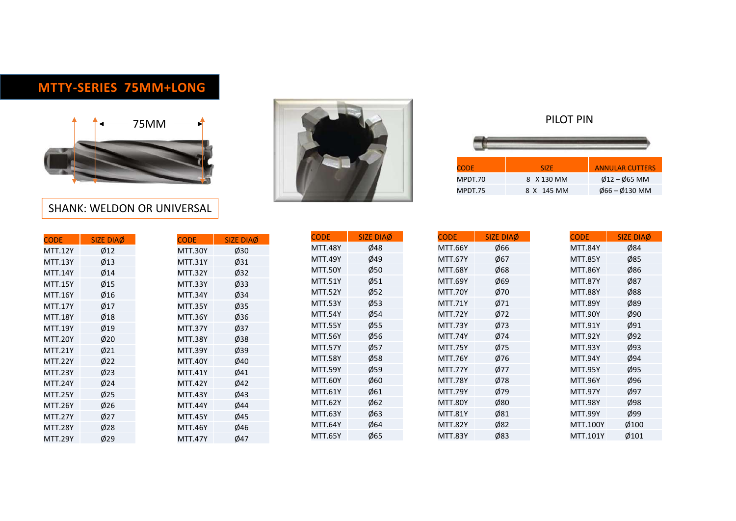## MTTY-SERIES 75MM+LONG



#### SHANK: WELDON OR UNIVERSAL





| <b>CODE</b> | SIZE.      | <b>ANNULAR CUTTERS</b>   |
|-------------|------------|--------------------------|
| MPDT.70     | 8 X 130 MM | $Ø12 - Ø65$ MM           |
| MPDT.75     | 8 X 145 MM | $\emptyset$ 66 – Ø130 MM |

|                                  |                  | <b>MTTY-SERIES 75MM+LONG</b>              |                  |                |                  |
|----------------------------------|------------------|-------------------------------------------|------------------|----------------|------------------|
|                                  |                  | 75MM<br><b>SHANK: WELDON OR UNIVERSAL</b> |                  |                |                  |
| <b>CODE</b>                      | <b>SIZE DIAØ</b> | <b>CODE</b>                               | <b>SIZE DIAØ</b> | <b>CODE</b>    | <b>SIZE DIA</b>  |
| <b>MTT.12Y</b>                   | Ø12              | <b>MTT.30Y</b>                            | Ø30              | <b>MTT.48Y</b> | Ø48              |
| <b>MTT.13Y</b>                   | Ø13              | <b>MTT.31Y</b>                            | Ø31              | <b>MTT.49Y</b> | Ø49              |
| <b>MTT.14Y</b>                   | Ø14              | <b>MTT.32Y</b>                            | Ø32              | <b>MTT.50Y</b> | Ø50              |
| <b>MTT.15Y</b>                   | Ø15              | <b>MTT.33Y</b>                            | $\varnothing$ 33 | <b>MTT.51Y</b> | $\emptyset$ 51   |
| <b>MTT.16Y</b>                   | Ø16              | <b>MTT.34Y</b>                            | Ø34              | <b>MTT.52Y</b> | $\varnothing$ 52 |
| <b>MTT.17Y</b>                   | Ø17              | <b>MTT.35Y</b>                            | $\varnothing$ 35 | <b>MTT.53Y</b> | $\varnothing$ 53 |
| <b>MTT.18Y</b>                   | Ø18              | <b>MTT.36Y</b>                            | Ø36              | <b>MTT.54Y</b> | Ø54              |
| <b>MTT.19Y</b>                   | Ø19              | <b>MTT.37Y</b>                            | Ø37              | <b>MTT.55Y</b> | $\varnothing$ 55 |
|                                  | Ø20              | <b>MTT.38Y</b>                            | Ø38              | <b>MTT.56Y</b> | Ø56              |
|                                  |                  |                                           |                  |                |                  |
| <b>MTT.20Y</b>                   |                  |                                           |                  | <b>MTT.57Y</b> | Ø57              |
| <b>MTT.21Y</b><br><b>MTT.22Y</b> | Ø21              | <b>MTT.39Y</b>                            | Ø39              | <b>MTT.58Y</b> | Ø58              |
|                                  | Ø22              | <b>MTT.40Y</b>                            | Ø40              | <b>MTT.59Y</b> | $\varnothing$ 59 |
| <b>MTT.23Y</b><br><b>MTT.24Y</b> | Ø23              | <b>MTT.41Y</b><br><b>MTT.42Y</b>          | Ø41              | <b>MTT.60Y</b> | Ø60              |
|                                  | Ø24              |                                           | Ø42              | <b>MTT.61Y</b> | Ø61              |
| <b>MTT.25Y</b><br><b>MTT.26Y</b> | Ø25              | <b>MTT.43Y</b><br><b>MTT.44Y</b>          | Ø43              | <b>MTT.62Y</b> | Ø62              |
|                                  | Ø26              |                                           | Ø44              | MTT.63Y        | Ø63              |
| <b>MTT.27Y</b><br><b>MTT.28Y</b> | Ø27<br>Ø28       | <b>MTT.45Y</b><br><b>MTT.46Y</b>          | Ø45<br>Ø46       | <b>MTT.64Y</b> | Ø64<br>Ø65       |

| <b>/ERSAL</b>  |                  |                |                      | <b>CODE</b><br>MPDT.70<br>MPDT.75 |                  |
|----------------|------------------|----------------|----------------------|-----------------------------------|------------------|
| <b>CODE</b>    | <b>SIZE DIAØ</b> | <b>CODE</b>    | <b>SIZE DIAØ</b>     | <b>CODE</b>                       | <b>SIZE DIAØ</b> |
| <b>MTT.30Y</b> | Ø30              | <b>MTT.48Y</b> | Ø48                  | <b>MTT.66Y</b>                    | Ø66              |
| <b>MTT.31Y</b> | Ø31              | <b>MTT.49Y</b> | Ø49                  | <b>MTT.67Y</b>                    | Ø67              |
| <b>MTT.32Y</b> | Ø32              | <b>MTT.50Y</b> | Ø50                  | <b>MTT.68Y</b>                    | Ø68              |
| <b>MTT.33Y</b> | Ø33              | <b>MTT.51Y</b> | $\emptyset$ 51       | <b>MTT.69Y</b>                    | Ø69              |
| <b>MTT.34Y</b> | Ø34              | <b>MTT.52Y</b> | $\phi$ <sub>52</sub> | <b>MTT.70Y</b>                    | Ø70              |
| <b>MTT.35Y</b> | Ø35              | <b>MTT.53Y</b> | $\varnothing$ 53     | <b>MTT.71Y</b>                    | Ø71              |
| <b>MTT.36Y</b> | Ø36              | <b>MTT.54Y</b> | Ø54                  | <b>MTT.72Y</b>                    | Ø72              |
| <b>MTT.37Y</b> | Ø37              | <b>MTT.55Y</b> | $\emptyset$ 55       | <b>MTT.73Y</b>                    | Ø73              |
| <b>MTT.38Y</b> | Ø38              | <b>MTT.56Y</b> | Ø56                  | <b>MTT.74Y</b>                    | Ø74              |
| <b>MTT.39Y</b> | Ø39              | <b>MTT.57Y</b> | Ø57                  | <b>MTT.75Y</b>                    | Ø75              |
| <b>MTT.40Y</b> | Ø40              | <b>MTT.58Y</b> | $\varnothing$ 58     | <b>MTT.76Y</b>                    | Ø76              |
| MTT.41Y        | Ø41              | <b>MTT.59Y</b> | $\varnothing$ 59     | <b>MTT.77Y</b>                    | Ø77              |
| <b>MTT.42Y</b> | Ø42              | <b>MTT.60Y</b> | Ø60                  | <b>MTT.78Y</b>                    | Ø78              |
| <b>MTT.43Y</b> | Ø43              | MTT.61Y        | Ø61                  | <b>MTT.79Y</b>                    | Ø79              |
| <b>MTT.44Y</b> | Ø44              | <b>MTT.62Y</b> | Ø62                  | <b>MTT.80Y</b>                    | Ø80              |
| <b>MTT.45Y</b> | Ø45              | <b>MTT.63Y</b> | Ø63                  | <b>MTT.81Y</b>                    | Ø81              |
| <b>MTT.46Y</b> | Ø46              | <b>MTT.64Y</b> | Ø64                  | <b>MTT.82Y</b>                    | Ø82              |
| <b>MTT.47Y</b> | Ø47              | <b>MTT.65Y</b> | Ø65                  | <b>MTT.83Y</b>                    | Ø83              |

|                                  |                       |                                  |                  | PILOT PIN                        |                        |
|----------------------------------|-----------------------|----------------------------------|------------------|----------------------------------|------------------------|
|                                  |                       |                                  |                  |                                  |                        |
|                                  |                       | <b>CODE</b>                      |                  | <b>SIZE</b>                      | <b>ANNULAR CUTTERS</b> |
|                                  |                       | MPDT.70                          |                  | 8 X 130 MM                       | $Ø12 - Ø65$ MM         |
|                                  |                       | MPDT.75                          |                  | 8 X 145 MM                       | Ø66-Ø130 MM            |
|                                  |                       |                                  |                  |                                  |                        |
| <b>CODE</b>                      | <b>SIZE DIAØ</b>      | <b>CODE</b>                      | <b>SIZE DIAØ</b> | <b>CODE</b>                      | SIZE DIAØ              |
| <b>MTT.48Y</b>                   | Ø48                   | <b>MTT.66Y</b>                   | Ø66              | <b>MTT.84Y</b>                   | Ø84                    |
| <b>MTT.49Y</b>                   | Ø49                   | <b>MTT.67Y</b>                   | Ø67              | <b>MTT.85Y</b>                   | Ø85                    |
| <b>MTT.50Y</b>                   | $\emptyset$ 50        | <b>MTT.68Y</b>                   | Ø68              | <b>MTT.86Y</b>                   | Ø86                    |
| <b>MTT.51Y</b>                   | $\emptyset$ 51        | <b>MTT.69Y</b>                   | Ø69              | <b>MTT.87Y</b>                   | Ø87                    |
| <b>MTT.52Y</b>                   | $\phi$ 52             | <b>MTT.70Y</b>                   | Ø70              | <b>MTT.88Y</b>                   | Ø88                    |
| <b>MTT.53Y</b>                   | $\varnothing$ 53      | <b>MTT.71Y</b>                   | Ø71              | <b>MTT.89Y</b>                   | Ø89                    |
| <b>MTT.54Y</b>                   | $\emptyset$ 54        | <b>MTT.72Y</b>                   | Ø72              | <b>MTT.90Y</b>                   | Ø90                    |
| <b>MTT.55Y</b>                   | $\emptyset$ 55        | <b>MTT.73Y</b>                   | Ø73              | MTT.91Y                          | Ø91                    |
| <b>MTT.56Y</b>                   | Ø56                   | <b>MTT.74Y</b>                   | Ø74              | <b>MTT.92Y</b>                   | Ø92                    |
| <b>MTT.57Y</b>                   | $\phi$ 57             | <b>MTT.75Y</b>                   | Ø75              | <b>MTT.93Y</b>                   | Ø93                    |
| <b>MTT.58Y</b>                   | $\emptyset$ 58<br>Ø59 | <b>MTT.76Y</b><br>MTT.77Y        | Ø76<br>Ø77       | <b>MTT.94Y</b><br><b>MTT.95Y</b> | Ø94<br>Ø95             |
| <b>MTT.59Y</b><br><b>MTT.60Y</b> | Ø60                   | <b>MTT.78Y</b>                   | Ø78              | <b>MTT.96Y</b>                   | Ø96                    |
| MTT.61Y                          | $\emptyset$ 61        | <b>MTT.79Y</b>                   | Ø79              | <b>MTT.97Y</b>                   | Ø97                    |
| <b>MTT.62Y</b>                   | Ø62                   | <b>MTT.80Y</b>                   | Ø80              | <b>MTT.98Y</b>                   | Ø98                    |
|                                  | Ø63                   | <b>MTT.81Y</b>                   | Ø81              | MTT.99Y                          | Ø99                    |
|                                  |                       |                                  | Ø82              | MTT.100Y                         | $\emptyset$ 100        |
|                                  |                       |                                  |                  |                                  |                        |
| MTT.63Y<br>MTT.64Y<br>MTT.65Y    | Ø64<br>Ø65            | <b>MTT.82Y</b><br><b>MTT.83Y</b> | Ø83              | MTT.101Y                         | $\emptyset$ 101        |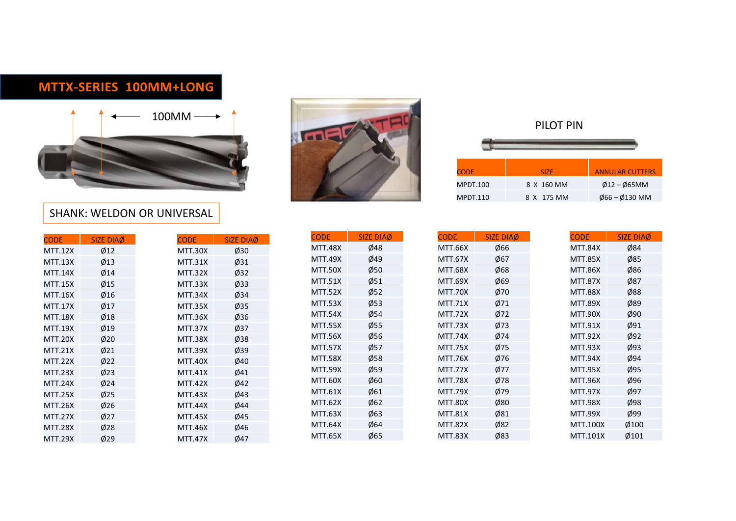## MTTX-SERIES 100MM+LONG





| <b>SHANK: WELDON OR UNIVERSAL</b> |                                                                                                                                                                                                                                                                                                                                                                                                                                                                                              |                                                                                                                                                                                                                                                                                                                |
|-----------------------------------|----------------------------------------------------------------------------------------------------------------------------------------------------------------------------------------------------------------------------------------------------------------------------------------------------------------------------------------------------------------------------------------------------------------------------------------------------------------------------------------------|----------------------------------------------------------------------------------------------------------------------------------------------------------------------------------------------------------------------------------------------------------------------------------------------------------------|
|                                   | <b>CODE</b>                                                                                                                                                                                                                                                                                                                                                                                                                                                                                  | <b>SIZE DIA</b>                                                                                                                                                                                                                                                                                                |
|                                   |                                                                                                                                                                                                                                                                                                                                                                                                                                                                                              | Ø48                                                                                                                                                                                                                                                                                                            |
|                                   |                                                                                                                                                                                                                                                                                                                                                                                                                                                                                              | Ø49                                                                                                                                                                                                                                                                                                            |
|                                   |                                                                                                                                                                                                                                                                                                                                                                                                                                                                                              | Ø50                                                                                                                                                                                                                                                                                                            |
|                                   |                                                                                                                                                                                                                                                                                                                                                                                                                                                                                              | Ø51                                                                                                                                                                                                                                                                                                            |
|                                   |                                                                                                                                                                                                                                                                                                                                                                                                                                                                                              | Ø52                                                                                                                                                                                                                                                                                                            |
|                                   |                                                                                                                                                                                                                                                                                                                                                                                                                                                                                              | Ø53                                                                                                                                                                                                                                                                                                            |
|                                   |                                                                                                                                                                                                                                                                                                                                                                                                                                                                                              | Ø54                                                                                                                                                                                                                                                                                                            |
|                                   | <b>MTT.55X</b>                                                                                                                                                                                                                                                                                                                                                                                                                                                                               | Ø55                                                                                                                                                                                                                                                                                                            |
|                                   |                                                                                                                                                                                                                                                                                                                                                                                                                                                                                              | Ø56                                                                                                                                                                                                                                                                                                            |
|                                   |                                                                                                                                                                                                                                                                                                                                                                                                                                                                                              | Ø57                                                                                                                                                                                                                                                                                                            |
|                                   |                                                                                                                                                                                                                                                                                                                                                                                                                                                                                              | Ø58                                                                                                                                                                                                                                                                                                            |
|                                   |                                                                                                                                                                                                                                                                                                                                                                                                                                                                                              | Ø59                                                                                                                                                                                                                                                                                                            |
|                                   |                                                                                                                                                                                                                                                                                                                                                                                                                                                                                              | Ø60                                                                                                                                                                                                                                                                                                            |
|                                   |                                                                                                                                                                                                                                                                                                                                                                                                                                                                                              | Ø61                                                                                                                                                                                                                                                                                                            |
|                                   |                                                                                                                                                                                                                                                                                                                                                                                                                                                                                              | Ø62                                                                                                                                                                                                                                                                                                            |
|                                   |                                                                                                                                                                                                                                                                                                                                                                                                                                                                                              | Ø63                                                                                                                                                                                                                                                                                                            |
|                                   |                                                                                                                                                                                                                                                                                                                                                                                                                                                                                              | Ø64                                                                                                                                                                                                                                                                                                            |
|                                   |                                                                                                                                                                                                                                                                                                                                                                                                                                                                                              | Ø65                                                                                                                                                                                                                                                                                                            |
|                                   | <b>SIZE DIAØ</b><br>Ø30<br><b>MTT.30X</b><br>Ø31<br><b>MTT.31X</b><br>$\varnothing$ 32<br><b>MTT.32X</b><br>Ø33<br>MTT.33X<br>Ø34<br>MTT.34X<br>$\emptyset$ 35<br><b>MTT.35X</b><br>Ø36<br><b>MTT.36X</b><br>Ø37<br><b>MTT.37X</b><br>Ø38<br><b>MTT.38X</b><br>Ø39<br><b>MTT.39X</b><br>Ø40<br><b>MTT.40X</b><br>Ø41<br><b>MTT.41X</b><br>Ø42<br><b>MTT.42X</b><br>Ø43<br><b>MTT.43X</b><br>Ø44<br><b>MTT.44X</b><br>Ø45<br><b>MTT.45X</b><br>Ø46<br><b>MTT.46X</b><br>Ø47<br><b>MTT.47X</b> | <b>MTT.48X</b><br><b>MTT.49X</b><br><b>MTT.50X</b><br><b>MTT.51X</b><br><b>MTT.52X</b><br><b>MTT.53X</b><br><b>MTT.54X</b><br><b>MTT.56X</b><br><b>MTT.57X</b><br><b>MTT.58X</b><br><b>MTT.59X</b><br><b>MTT.60X</b><br><b>MTT.61X</b><br><b>MTT.62X</b><br><b>MTT.63X</b><br><b>MTT.64X</b><br><b>MTT.65X</b> |



|                                     |                  | PILOT PIN   |                |                        |
|-------------------------------------|------------------|-------------|----------------|------------------------|
|                                     |                  |             |                |                        |
|                                     |                  |             |                |                        |
|                                     |                  | <b>SIZE</b> |                | <b>ANNULAR CUTTERS</b> |
|                                     |                  | 8 X 160 MM  |                | $\emptyset$ 12 – Ø65MM |
|                                     |                  | 8 X 175 MM  |                | Ø66-Ø130 MM            |
|                                     |                  |             |                |                        |
| <b>CODE</b><br>MPDT.100<br>MPDT.110 |                  |             |                |                        |
| 56X                                 | SIZE DIAØ<br>Ø66 | <b>CODE</b> | <b>MTT.84X</b> | SIZE DIAØ<br>Ø84       |

| <b>LONG</b><br>1M |                  |                |                  |                         |                  |
|-------------------|------------------|----------------|------------------|-------------------------|------------------|
|                   |                  |                |                  | <b>CODE</b><br>MPDT.100 | MPDT.110         |
| VERSAL            |                  |                |                  |                         |                  |
| <b>CODE</b>       | <b>SIZE DIAØ</b> | <b>CODE</b>    | <b>SIZE DIAØ</b> | <b>CODE</b>             | <b>SIZE DIAØ</b> |
| <b>MTT.30X</b>    | Ø30              | <b>MTT.48X</b> | Ø48              | <b>MTT.66X</b>          | Ø66              |
| <b>MTT.31X</b>    | Ø31              | <b>MTT.49X</b> | Ø49              | <b>MTT.67X</b>          | Ø67              |
| <b>MTT.32X</b>    | Ø32              | <b>MTT.50X</b> | Ø50              | <b>MTT.68X</b>          | Ø68              |
| MTT.33X           | Ø33              | <b>MTT.51X</b> | Ø51              | <b>MTT.69X</b>          | Ø69              |
| MTT.34X           | Ø34              | <b>MTT.52X</b> | Ø52              | <b>MTT.70X</b>          | Ø70              |
| <b>MTT.35X</b>    | Ø35              | <b>MTT.53X</b> | $\varnothing$ 53 | <b>MTT.71X</b>          | Ø71              |
| <b>MTT.36X</b>    | Ø36              | <b>MTT.54X</b> | Ø54              | <b>MTT.72X</b>          | Ø72              |
| MTT.37X           | Ø37              | <b>MTT.55X</b> | $\emptyset$ 55   | MTT.73X                 | Ø73              |
| <b>MTT.38X</b>    | Ø38              | <b>MTT.56X</b> | Ø56              | <b>MTT.74X</b>          | Ø74              |
| <b>MTT.39X</b>    | Ø39              | <b>MTT.57X</b> | Ø57              | <b>MTT.75X</b>          | Ø75              |
| <b>MTT.40X</b>    | Ø40              | <b>MTT.58X</b> | Ø58              | <b>MTT.76X</b>          | Ø76              |
| <b>MTT.41X</b>    | Ø41              | <b>MTT.59X</b> | Ø59              | <b>MTT.77X</b>          | Ø77              |
| <b>MTT.42X</b>    | Ø42              | <b>MTT.60X</b> | Ø60              | <b>MTT.78X</b>          | Ø78              |
| <b>MTT.43X</b>    | Ø43              | <b>MTT.61X</b> | Ø61              | <b>MTT.79X</b>          | Ø79              |
| <b>MTT.44X</b>    | Ø44              | <b>MTT.62X</b> | Ø62              | <b>MTT.80X</b>          | Ø80              |
| <b>MTT.45X</b>    | Ø45              | <b>MTT.63X</b> | Ø63              | <b>MTT.81X</b>          | Ø81              |
| <b>MTT.46X</b>    | Ø46              | <b>MTT.64X</b> | Ø64              | <b>MTT.82X</b>          | Ø82              |
| <b>MTT.47X</b>    | Ø47              | <b>MTT.65X</b> | Ø65              | <b>MTT.83X</b>          | Ø83              |
|                   |                  |                |                  |                         |                  |

|                                  |                                  |                           |                  | PILOT PIN                        |                        |
|----------------------------------|----------------------------------|---------------------------|------------------|----------------------------------|------------------------|
|                                  |                                  |                           |                  |                                  |                        |
|                                  |                                  | <b>CODE</b>               |                  | <b>SIZE</b>                      | <b>ANNULAR CUTTERS</b> |
|                                  |                                  | <b>MPDT.100</b>           |                  | 8 X 160 MM                       | $Ø12-O65MM$            |
|                                  |                                  | MPDT.110                  |                  | 8 X 175 MM                       | Ø66-Ø130 MM            |
|                                  |                                  |                           |                  |                                  |                        |
| <b>CODE</b>                      | <b>SIZE DIAØ</b>                 | <b>CODE</b>               | <b>SIZE DIAØ</b> | <b>CODE</b>                      | SIZE DIAØ              |
| <b>MTT.48X</b>                   | Ø48                              | <b>MTT.66X</b>            | Ø66              | <b>MTT.84X</b>                   | Ø84                    |
| <b>MTT.49X</b>                   | Ø49                              | <b>MTT.67X</b>            | Ø67              | <b>MTT.85X</b>                   | Ø85                    |
| <b>MTT.50X</b>                   | $\emptyset$ 50<br>$\emptyset$ 51 | <b>MTT.68X</b><br>MTT.69X | Ø68<br>Ø69       | <b>MTT.86X</b><br><b>MTT.87X</b> | Ø86<br>Ø87             |
| <b>MTT.51X</b><br><b>MTT.52X</b> | $\phi$ 52                        | <b>MTT.70X</b>            | Ø70              | <b>MTT.88X</b>                   | Ø88                    |
| <b>MTT.53X</b>                   | $\varnothing$ 53                 | <b>MTT.71X</b>            | Ø71              | <b>MTT.89X</b>                   | Ø89                    |
| <b>MTT.54X</b>                   | $\emptyset$ 54                   | <b>MTT.72X</b>            | Ø72              | <b>MTT.90X</b>                   | Ø90                    |
| <b>MTT.55X</b>                   | $\emptyset$ 55                   | MTT.73X                   | Ø73              | MTT.91X                          | Ø91                    |
| <b>MTT.56X</b>                   | Ø56                              | MTT.74X                   | Ø74              | <b>MTT.92X</b>                   | Ø92                    |
| <b>MTT.57X</b>                   | $\phi$ 57                        | <b>MTT.75X</b>            | Ø75              | <b>MTT.93X</b>                   | Ø93                    |
| <b>MTT.58X</b>                   | $\emptyset$ 58                   | <b>MTT.76X</b>            | Ø76              | <b>MTT.94X</b>                   | Ø94                    |
| <b>MTT.59X</b>                   | $\emptyset$ 59                   | MTT.77X                   | Ø77              | <b>MTT.95X</b>                   | Ø95                    |
| MTT.60X                          | Ø60                              | <b>MTT.78X</b>            | Ø78              | <b>MTT.96X</b>                   | Ø96                    |
| MTT.61X                          | Ø61                              | <b>MTT.79X</b>            | Ø79              | <b>MTT.97X</b>                   | Ø97                    |
| MTT.62X                          | Ø62                              | <b>MTT.80X</b>            | Ø80              | <b>MTT.98X</b>                   | Ø98                    |
| MTT.63X                          | Ø63                              | <b>MTT.81X</b>            | Ø81              | <b>MTT.99X</b>                   | Ø99                    |
| <b>MTT.64X</b>                   | Ø64                              | <b>MTT.82X</b>            | Ø82              | MTT.100X                         | Ø100                   |
| MTT.65X                          | Ø65                              | <b>MTT.83X</b>            | Ø83              | MTT.101X                         | $\emptyset$ 101        |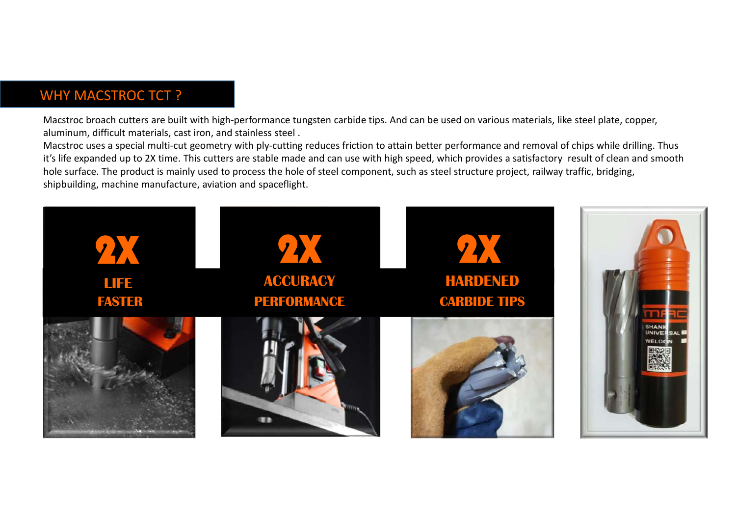#### WHY MACSTROC TCT ?

Macstroc broach cutters are built with high-performance tungsten carbide tips. And can be used on various materials, like steel plate, copper, aluminum, difficult materials, cast iron, and stainless steel .

Macstroc uses a special multi-cut geometry with ply-cutting reduces friction to attain better performance and removal of chips while drilling. Thus it's life expanded up to 2X time. This cutters are stable made and can use with high speed, which provides a satisfactory result of clean and smooth hole surface. The product is mainly used to process the hole of steel component, such as steel structure project, railway traffic, bridging, shipbuilding, machine manufacture, aviation and spaceflight.

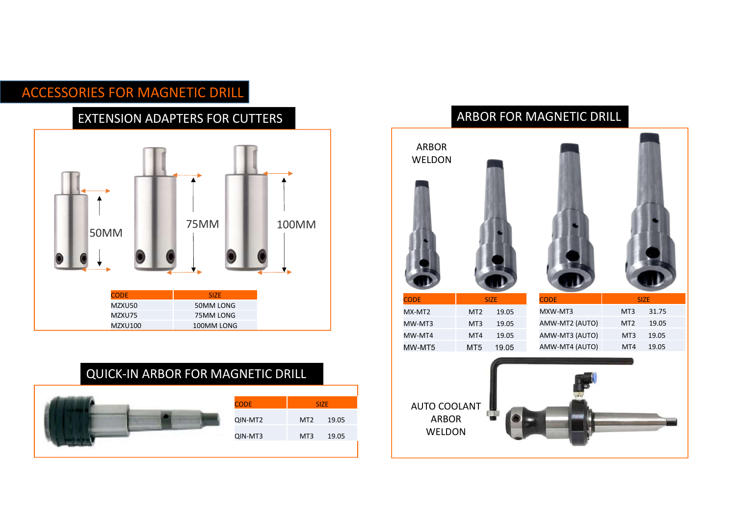## ACCESSORIES FOR MAGNETIC DRILL

#### EXTENSION ADAPTERS FOR CUTTERS



## QUICK-IN ARBOR FOR MAGNETIC DRILL



#### ARBOR FOR MAGNETIC DRILL

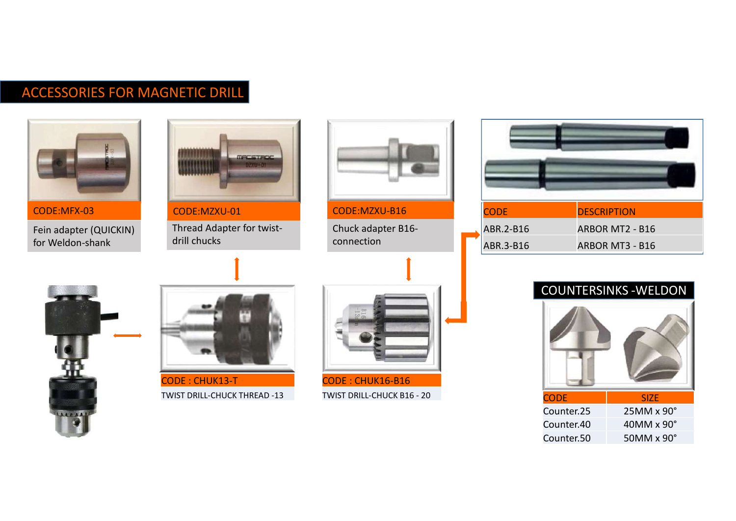# ACCESSORIES FOR MAGNETIC DRILL



Fein adapter (QUICKIN) for Weldon-shank



CODE:MFX-03 CODE:MZXU-01

Thread Adapter for twistdrill chucks



CODE:MZXU-B16

Chuck adapter B16 connection

| <b>CODE</b> | <b>DESCRIPTION</b>           |  |
|-------------|------------------------------|--|
| ABR.2-B16   | ARBOR MT2 - B16              |  |
| ABR.3-B16   | ARBOR MT3 - B16              |  |
|             |                              |  |
|             | <b>COUNTERSINKS - WELDON</b> |  |
|             | 石画人                          |  |





CODE : CHUK13-T TWIST DRILL-CHUCK THREAD -13



CODE : CHUK16-B16